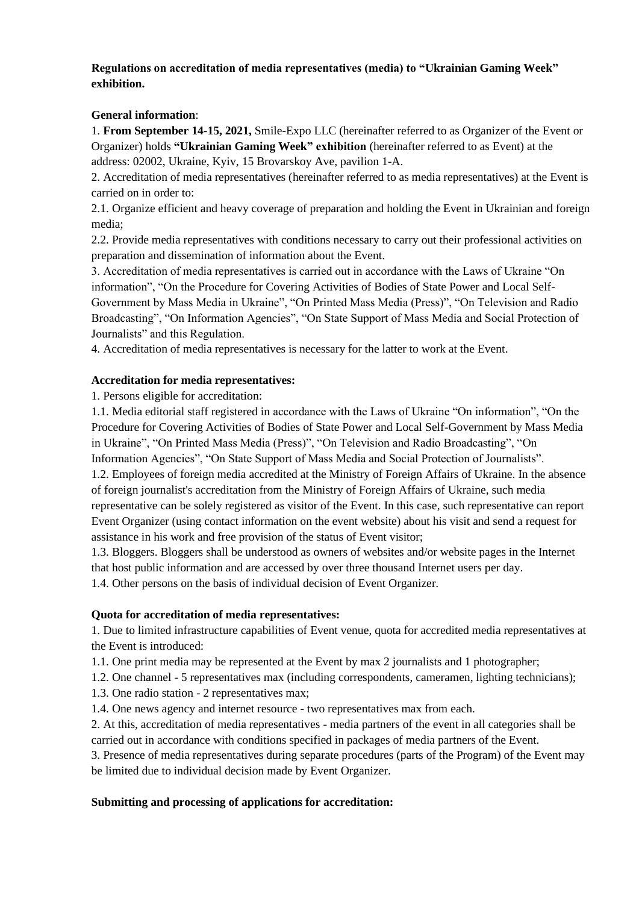### **Regulations on accreditation of media representatives (media) to "Ukrainian Gaming Week" exhibition.**

#### **General information**:

1. **From September 14-15, 2021,** Smile-Expo LLC (hereinafter referred to as Organizer of the Event or Organizer) holds **"Ukrainian Gaming Week" exhibition** (hereinafter referred to as Event) at the address: 02002, Ukraine, Kyiv, 15 Brovarskoy Ave, pavilion 1-A.

2. Accreditation of media representatives (hereinafter referred to as media representatives) at the Event is carried on in order to:

2.1. Organize efficient and heavy coverage of preparation and holding the Event in Ukrainian and foreign media;

2.2. Provide media representatives with conditions necessary to carry out their professional activities on preparation and dissemination of information about the Event.

3. Accreditation of media representatives is carried out in accordance with the Laws of Ukraine "On information", "On the Procedure for Covering Activities of Bodies of State Power and Local Self-Government by Mass Media in Ukraine", "On Printed Mass Media (Press)", "On Television and Radio Broadcasting", "On Information Agencies", "On State Support of Mass Media and Social Protection of Journalists" and this Regulation.

4. Accreditation of media representatives is necessary for the latter to work at the Event.

#### **Accreditation for media representatives:**

1. Persons eligible for accreditation:

1.1. Media editorial staff registered in accordance with the Laws of Ukraine "On information", "On the Procedure for Covering Activities of Bodies of State Power and Local Self-Government by Mass Media in Ukraine", "On Printed Mass Media (Press)", "On Television and Radio Broadcasting", "On Information Agencies", "On State Support of Mass Media and Social Protection of Journalists". 1.2. Employees of foreign media accredited at the Ministry of Foreign Affairs of Ukraine. In the absence of foreign journalist's accreditation from the Ministry of Foreign Affairs of Ukraine, such media representative can be solely registered as visitor of the Event. In this case, such representative can report Event Organizer (using contact information on the event website) about his visit and send a request for assistance in his work and free provision of the status of Event visitor;

1.3. Bloggers. Bloggers shall be understood as owners of websites and/or website pages in the Internet that host public information and are accessed by over three thousand Internet users per day.

1.4. Other persons on the basis of individual decision of Event Organizer.

# **Quota for accreditation of media representatives:**

1. Due to limited infrastructure capabilities of Event venue, quota for accredited media representatives at the Event is introduced:

1.1. One print media may be represented at the Event by max 2 journalists and 1 photographer;

1.2. One channel - 5 representatives max (including correspondents, cameramen, lighting technicians);

- 1.3. One radio station 2 representatives max;
- 1.4. One news agency and internet resource two representatives max from each.

2. At this, accreditation of media representatives - media partners of the event in all categories shall be carried out in accordance with conditions specified in packages of media partners of the Event.

3. Presence of media representatives during separate procedures (parts of the Program) of the Event may be limited due to individual decision made by Event Organizer.

# **Submitting and processing of applications for accreditation:**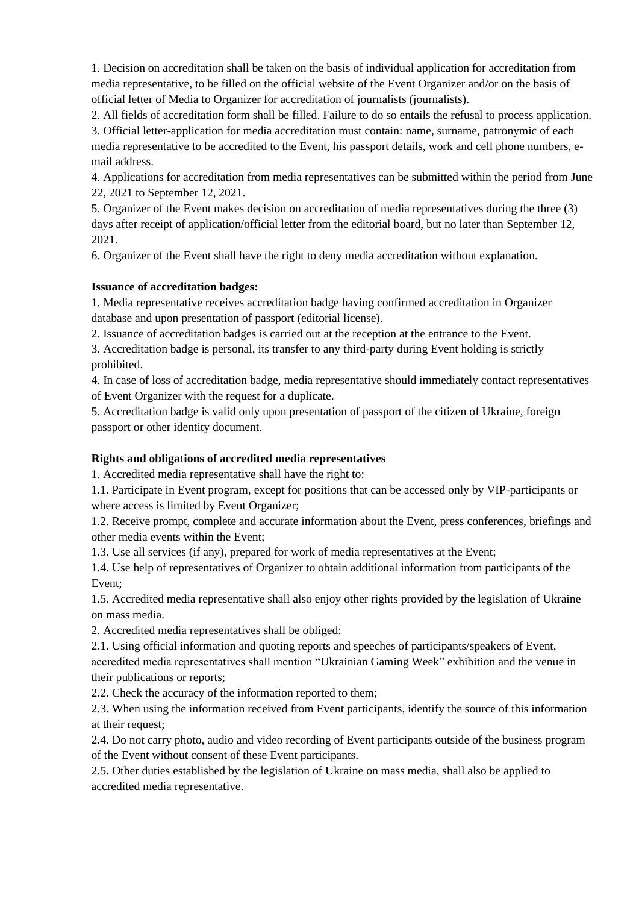1. Decision on accreditation shall be taken on the basis of individual application for accreditation from media representative, to be filled on the official website of the Event Organizer and/or on the basis of official letter of Media to Organizer for accreditation of journalists (journalists).

2. All fields of accreditation form shall be filled. Failure to do so entails the refusal to process application.

3. Official letter-application for media accreditation must contain: name, surname, patronymic of each media representative to be accredited to the Event, his passport details, work and cell phone numbers, email address.

4. Applications for accreditation from media representatives can be submitted within the period from June 22, 2021 to September 12, 2021.

5. Organizer of the Event makes decision on accreditation of media representatives during the three (3) days after receipt of application/official letter from the editorial board, but no later than September 12, 2021.

6. Organizer of the Event shall have the right to deny media accreditation without explanation.

#### **Issuance of accreditation badges:**

1. Media representative receives accreditation badge having confirmed accreditation in Organizer database and upon presentation of passport (editorial license).

2. Issuance of accreditation badges is carried out at the reception at the entrance to the Event.

3. Accreditation badge is personal, its transfer to any third-party during Event holding is strictly prohibited.

4. In case of loss of accreditation badge, media representative should immediately contact representatives of Event Organizer with the request for a duplicate.

5. Accreditation badge is valid only upon presentation of passport of the citizen of Ukraine, foreign passport or other identity document.

# **Rights and obligations of accredited media representatives**

1. Accredited media representative shall have the right to:

1.1. Participate in Event program, except for positions that can be accessed only by VIP-participants or where access is limited by Event Organizer;

1.2. Receive prompt, complete and accurate information about the Event, press conferences, briefings and other media events within the Event;

1.3. Use all services (if any), prepared for work of media representatives at the Event;

1.4. Use help of representatives of Organizer to obtain additional information from participants of the Event;

1.5. Accredited media representative shall also enjoy other rights provided by the legislation of Ukraine on mass media.

2. Accredited media representatives shall be obliged:

2.1. Using official information and quoting reports and speeches of participants/speakers of Event, accredited media representatives shall mention "Ukrainian Gaming Week" exhibition and the venue in their publications or reports;

2.2. Check the accuracy of the information reported to them;

2.3. When using the information received from Event participants, identify the source of this information at their request;

2.4. Do not carry photo, audio and video recording of Event participants outside of the business program of the Event without consent of these Event participants.

2.5. Other duties established by the legislation of Ukraine on mass media, shall also be applied to accredited media representative.